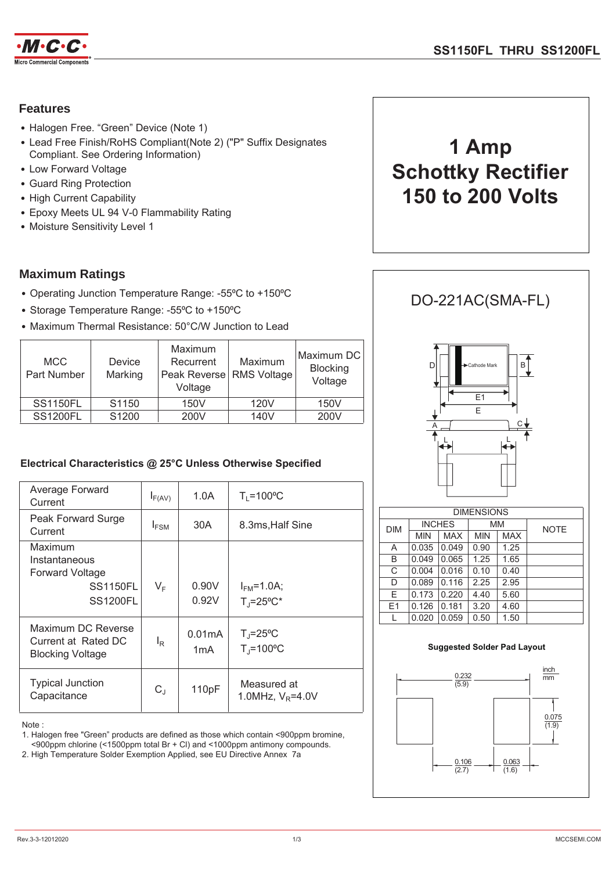

### **Features**

- Halogen Free. "Green" Device (Note 1)
- Lead Free Finish/RoHS Compliant(Note 2) ("P" Suffix Designates Compliant. See Ordering Information)
- Low Forward Voltage
- Guard Ring Protection
- High Current Capability
- Epoxy Meets UL 94 V-0 Flammability Rating
- Moisture Sensitivity Level 1

### **Maximum Ratings**

- Operating Junction Temperature Range: -55°C to +150°C
- Storage Temperature Range: -55°C to +150°C
- Maximum Thermal Resistance: 50°C/W Junction to Lead

| <b>MCC</b><br>Part Number | <b>Device</b><br>Marking | Maximum<br>Recurrent<br>Peak Reverse   RMS Voltage  <br>Voltage | Maximum | Maximum DC<br>Blocking<br>Voltage |
|---------------------------|--------------------------|-----------------------------------------------------------------|---------|-----------------------------------|
| <b>SS1150FL</b>           | S1150                    | 150V                                                            | 120V    | 150V                              |
| <b>SS1200FL</b>           | S1200                    | 200V                                                            | 140V    | 200V                              |

### Electrical Characteristics @ 25°C Unless Otherwise Specified

| Average Forward<br>Current                                                               | $I_{F(AV)}$    | 1.0A           | $T_1 = 100^{\circ}C$                       |
|------------------------------------------------------------------------------------------|----------------|----------------|--------------------------------------------|
| Peak Forward Surge<br>Current                                                            | $I_{FSM}$      | 30A            | 8.3ms, Half Sine                           |
| Maximum<br>Instantaneous<br><b>Forward Voltage</b><br><b>SS1150FL</b><br><b>SS1200FL</b> | $V_F$          | 0.90V<br>0.92V | $I_{FM} = 1.0A$ ;<br>$T_i = 25^{\circ}C^*$ |
| Maximum DC Reverse<br>Current at Rated DC<br><b>Blocking Voltage</b>                     | l <sub>R</sub> | 0.01mA<br>1mA  | $T_J = 25$ °C<br>$T_J = 100^{\circ}C$      |
| <b>Typical Junction</b><br>Capacitance                                                   | $C_{J}$        | 110pF          | Measured at<br>1.0MHz, $V_R = 4.0V$        |

Note:

1. Halogen free "Green" products are defined as those which contain <900ppm bromine.

<900ppm chlorine (<1500ppm total Br + Cl) and <1000ppm antimony compounds.

2. High Temperature Solder Exemption Applied, see EU Directive Annex 7a



# DO-221AC(SMA-FL)



| <b>DIMENSIONS</b> |               |       |            |            |             |
|-------------------|---------------|-------|------------|------------|-------------|
| DIM               | <b>INCHES</b> |       | MM         |            | <b>NOTE</b> |
|                   | <b>MIN</b>    | MAX   | <b>MIN</b> | <b>MAX</b> |             |
| Α                 | 0.035         | 0.049 | 0.90       | 1.25       |             |
| B                 | 0.049         | 0.065 | 1.25       | 1.65       |             |
| C                 | 0.004         | 0.016 | 0.10       | 0.40       |             |
| D                 | 0.089         | 0.116 | 2.25       | 2.95       |             |
| E                 | 0.173         | 0.220 | 4.40       | 5.60       |             |
| E1                | 0.126         | 0.181 | 3.20       | 4.60       |             |
|                   | 0.020         | 0.059 | 0.50       | 1.50       |             |

#### **Suggested Solder Pad Layout**

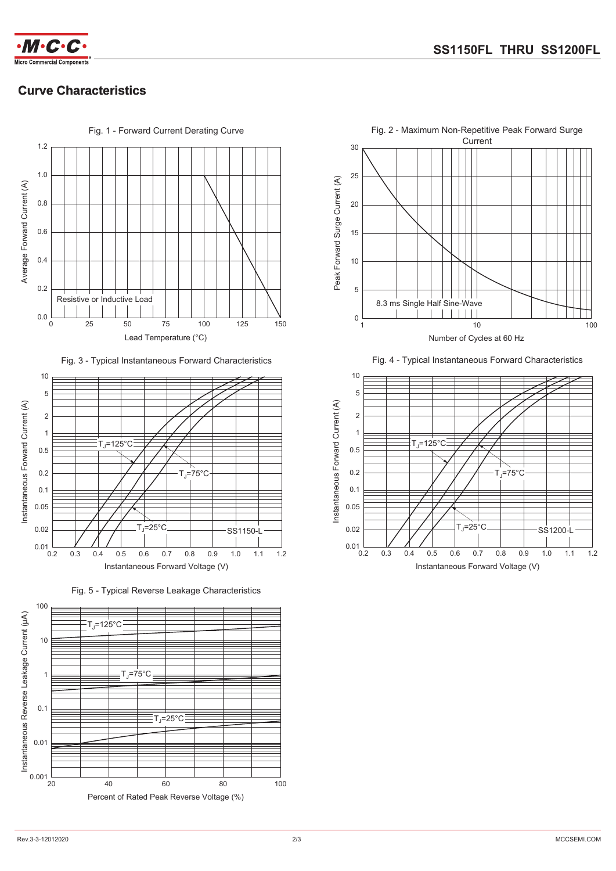

# **Curve Characteristics**



Fig. 3 - Typical Instantaneous Forward Characteristics



Fig. 5 - Typical Reverse Leakage Characteristics





Fig. 4 - Typical Instantaneous Forward Characteristics